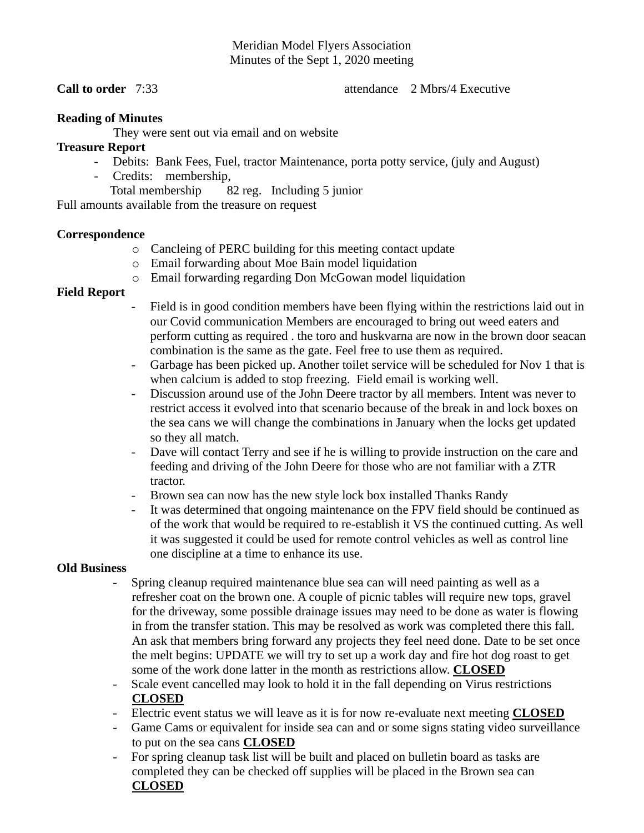## Meridian Model Flyers Association Minutes of the Sept 1, 2020 meeting

**Call to order** 7:33 **attendance** 2 Mbrs/4 Executive

## **Reading of Minutes**

They were sent out via email and on website

## **Treasure Report**

- Debits: Bank Fees, Fuel, tractor Maintenance, porta potty service, (july and August)
- Credits: membership,

Total membership 82 reg. Including 5 junior

Full amounts available from the treasure on request

#### **Correspondence**

- o Cancleing of PERC building for this meeting contact update
- o Email forwarding about Moe Bain model liquidation
- o Email forwarding regarding Don McGowan model liquidation

## **Field Report**

- Field is in good condition members have been flying within the restrictions laid out in our Covid communication Members are encouraged to bring out weed eaters and perform cutting as required . the toro and huskvarna are now in the brown door seacan combination is the same as the gate. Feel free to use them as required.
- Garbage has been picked up. Another toilet service will be scheduled for Nov 1 that is when calcium is added to stop freezing. Field email is working well.
- Discussion around use of the John Deere tractor by all members. Intent was never to restrict access it evolved into that scenario because of the break in and lock boxes on the sea cans we will change the combinations in January when the locks get updated so they all match.
- Dave will contact Terry and see if he is willing to provide instruction on the care and feeding and driving of the John Deere for those who are not familiar with a ZTR tractor.
- Brown sea can now has the new style lock box installed Thanks Randy
- It was determined that ongoing maintenance on the FPV field should be continued as of the work that would be required to re-establish it VS the continued cutting. As well it was suggested it could be used for remote control vehicles as well as control line one discipline at a time to enhance its use.

#### **Old Business**

- Spring cleanup required maintenance blue sea can will need painting as well as a refresher coat on the brown one. A couple of picnic tables will require new tops, gravel for the driveway, some possible drainage issues may need to be done as water is flowing in from the transfer station. This may be resolved as work was completed there this fall. An ask that members bring forward any projects they feel need done. Date to be set once the melt begins: UPDATE we will try to set up a work day and fire hot dog roast to get some of the work done latter in the month as restrictions allow. **CLOSED**
- Scale event cancelled may look to hold it in the fall depending on Virus restrictions **CLOSED**
- Electric event status we will leave as it is for now re-evaluate next meeting **CLOSED**
- Game Cams or equivalent for inside sea can and or some signs stating video surveillance to put on the sea cans **CLOSED**
- For spring cleanup task list will be built and placed on bulletin board as tasks are completed they can be checked off supplies will be placed in the Brown sea can **CLOSED**